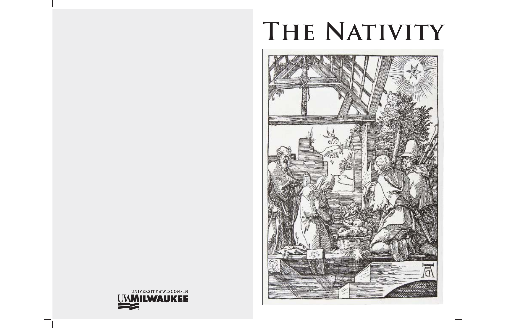# **The Nativity**



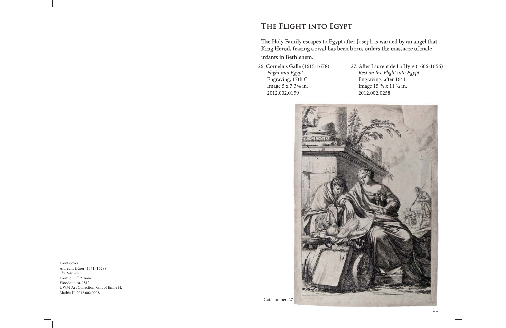Front cover: Albrecht Dürer (1471–1528) *The Nativity* From *Small Passion* Woodcut, ca. 1812 UWM Art Collection, Gift of Emile H. Mathis II, 2012.002.0008

26. Cornelius Galle (1615-1678) *Flight into Egypt* Engraving, 17th C. Image 5 x 7 3/4 in. 2012.002.0159





# **The Flight into Egypt he Flight into Egypt**

#### The Holy Family escapes to Egypt after Joseph is warned by an angel that King Herod, fearing a rival has been born, orders the massacre of male infants in Bethlehem.

27. After Laurent de La Hyre (1606-1656) *Rest on the Flight into Egypt* Engraving, after 1641 Image 15 ¾ x 11 ½ in. 2012.002.0258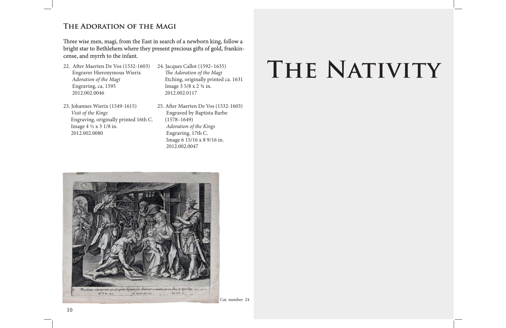# **The Adoration of the Magi he Adoration of the**

Three wise men, magi, from the East in search of a newborn king, follow a bright star to Bethlehem where they present precious gifts of gold, frankincense, and myrrh to the infant.

- 22. After Maerten De Vos (1532-1603) Engraver Hieronymous Wierix *Adoration of the Magi* Engraving, ca. 1595 2012.002.0046
- 23. Johannes Wierix (1549-1615)  *Visit of the Kings* Engraving, originally printed 16th C. Image 4 ½ x 3 1/8 in. 2012.002.0080
- 24. Jacques Callot (1592–1635) *The Adoration of the Magi*  Etching, originally printed ca. 1631 Image 3 5/8 x 2 ¾ in. 2012.002.0117
- 25. After Maerten De Vos (1532-1603) Engraved by Baptista Barbe (1578–1649)  *Adoration of the Kings* Engraving, 17th C. Image 6 15/16 x 8 9/16 in. 2012.002.0047



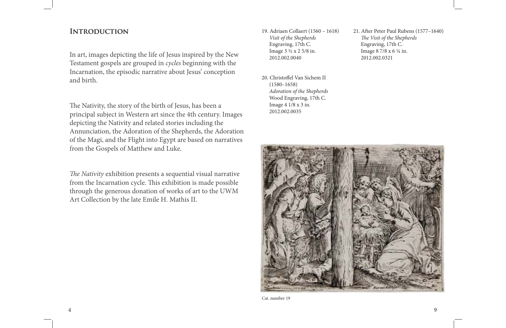### **Introduction ntroduction**

In art, images depicting the life of Jesus inspired by the New Testament gospels are grouped in *cycles* beginning with the Incarnation, the episodic narrative about Jesus' conception and birth.

The Nativity, the story of the birth of Jesus, has been a principal subject in Western art since the 4th century. Images depicting the Nativity and related stories including the Annunciation, the Adoration of the Shepherds, the Adoration of the Magi, and the Flight into Egypt are based on narratives from the Gospels of Matthew and Luke.

The Nativity exhibition presents a sequential visual narrative from the Incarnation cycle. This exhibition is made possible through the generous donation of works of art to the UWM Art Collection by the late Emile H. Mathis II.

21. After Peter Paul Rubens (1577–1640) *The Visit of the Shepherds*  Engraving, 17th C. Image 8 7/8 x 6 ¼ in. 2012.002.0321

- 19. Adriaen Collaert (1560 1618)  *Visit of the Shepherds* Engraving, 17th C. Image 3 ½ x 2 5/8 in. 2012.002.0040
- 20. Christoffel Van Sichem II (1580–1658) *Adoration of the Shepherds* Wood Engraving, 17th C. Image 4 1/8 x 3 in. 2012.002.0035



Cat. number 19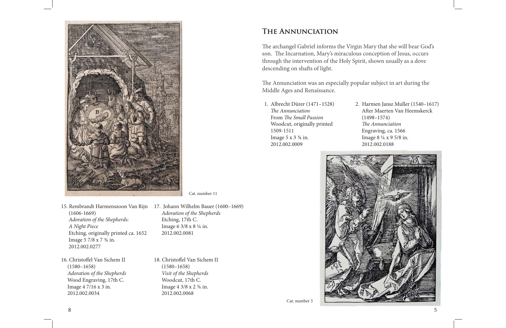*Adoration of the Shepherds*

Etching, 17th C.

Image 6 3/8 x 8 ¼ in.

2012.002.0081

18. Christoffel Van Sichem II (1580–1658)  *Visit of the Shepherds* Woodcut, 17th C. Image 4 3/8 x 2 ¾ in. 2012.002.0068



- 15. Rembrandt Harmenszoon Van Rijn 17. Johann Wilhelm Bauer (1600–1669) (1606-1669)  *Adoration of the Shepherds: A Night Piece* Etching, originally printed ca. 1652 Image 5 7/8 x 7 ¾ in. 2012.002.0277
- 16. Christoffel Van Sichem II (1580–1658)  *Adoration of the Shepherds* Wood Engraving, 17th C. Image 4 7/16 x 3 in. 2012.002.0034

The Annunciation was an especially popular subject in art during the Middle Ages and Renaissance.

Cat. number 11

### **The Annunciation he**

The archangel Gabriel informs the Virgin Mary that she will bear God's son. The Incarnation, Mary's miraculous conception of Jesus, occurs through the intervention of the Holy Spirit, shown usually as a dove descending on shafts of light.

Cat. number 3

1. Albrecht Dürer (1471–1528)  *Th e Annunciation* **From The Small Passion**  Woodcut, originally printed 1509-1511Image  $5 \times 3 \frac{3}{4}$  in. 2012.002.0009







2. Harmen Jansz Muller (1540–1617) After Maerten Van Heemskerck (1498–1574) **The Annunciation**  Engraving, ca. 1566 Image 8 ¼ x 9 5/8 in. 2012.002.0188